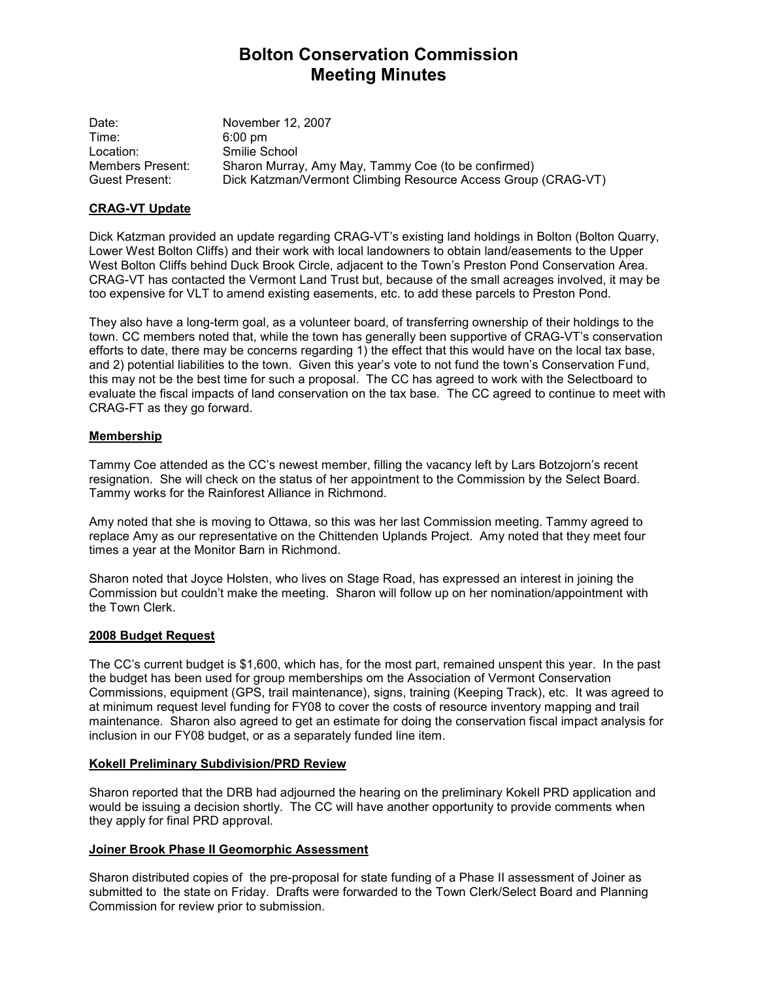# Bolton Conservation Commission Meeting Minutes

Date: November 12, 2007 Time: 6:00 pm Location: Smilie School Members Present: Sharon Murray, Amy May, Tammy Coe (to be confirmed) Guest Present: Dick Katzman/Vermont Climbing Resource Access Group (CRAG-VT)

### CRAG-VT Update

Dick Katzman provided an update regarding CRAG-VT's existing land holdings in Bolton (Bolton Quarry, Lower West Bolton Cliffs) and their work with local landowners to obtain land/easements to the Upper West Bolton Cliffs behind Duck Brook Circle, adjacent to the Town's Preston Pond Conservation Area. CRAG-VT has contacted the Vermont Land Trust but, because of the small acreages involved, it may be too expensive for VLT to amend existing easements, etc. to add these parcels to Preston Pond.

They also have a long-term goal, as a volunteer board, of transferring ownership of their holdings to the town. CC members noted that, while the town has generally been supportive of CRAG-VT's conservation efforts to date, there may be concerns regarding 1) the effect that this would have on the local tax base, and 2) potential liabilities to the town. Given this year's vote to not fund the town's Conservation Fund, this may not be the best time for such a proposal. The CC has agreed to work with the Selectboard to evaluate the fiscal impacts of land conservation on the tax base. The CC agreed to continue to meet with CRAG-FT as they go forward.

## **Membership**

Tammy Coe attended as the CC's newest member, filling the vacancy left by Lars Botzojorn's recent resignation. She will check on the status of her appointment to the Commission by the Select Board. Tammy works for the Rainforest Alliance in Richmond.

Amy noted that she is moving to Ottawa, so this was her last Commission meeting. Tammy agreed to replace Amy as our representative on the Chittenden Uplands Project. Amy noted that they meet four times a year at the Monitor Barn in Richmond.

Sharon noted that Joyce Holsten, who lives on Stage Road, has expressed an interest in joining the Commission but couldn't make the meeting. Sharon will follow up on her nomination/appointment with the Town Clerk.

#### 2008 Budget Request

The CC's current budget is \$1,600, which has, for the most part, remained unspent this year. In the past the budget has been used for group memberships om the Association of Vermont Conservation Commissions, equipment (GPS, trail maintenance), signs, training (Keeping Track), etc. It was agreed to at minimum request level funding for FY08 to cover the costs of resource inventory mapping and trail maintenance. Sharon also agreed to get an estimate for doing the conservation fiscal impact analysis for inclusion in our FY08 budget, or as a separately funded line item.

### Kokell Preliminary Subdivision/PRD Review

Sharon reported that the DRB had adjourned the hearing on the preliminary Kokell PRD application and would be issuing a decision shortly. The CC will have another opportunity to provide comments when they apply for final PRD approval.

#### Joiner Brook Phase II Geomorphic Assessment

Sharon distributed copies of the pre-proposal for state funding of a Phase II assessment of Joiner as submitted to the state on Friday. Drafts were forwarded to the Town Clerk/Select Board and Planning Commission for review prior to submission.